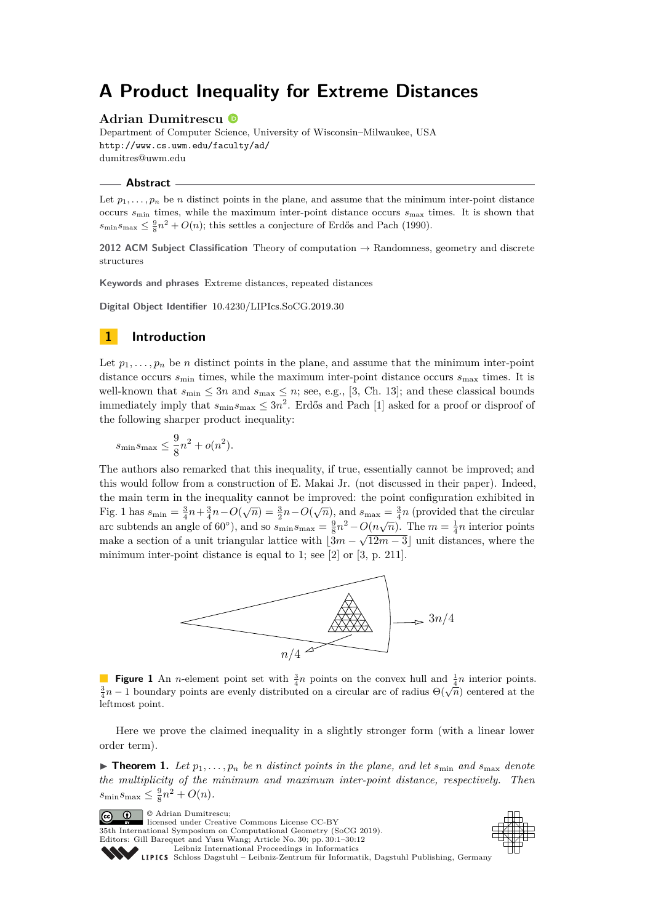# **A Product Inequality for Extreme Distances**

# **Adrian Dumitrescu**

Department of Computer Science, University of Wisconsin–Milwaukee, USA <http://www.cs.uwm.edu/faculty/ad/> [dumitres@uwm.edu](mailto:dumitres@uwm.edu)

#### **Abstract**

Let  $p_1, \ldots, p_n$  be *n* distinct points in the plane, and assume that the minimum inter-point distance occurs  $s_{\text{min}}$  times, while the maximum inter-point distance occurs  $s_{\text{max}}$  times. It is shown that  $s_{\min}s_{\max} \leq \frac{9}{8}n^2 + O(n)$ ; this settles a conjecture of Erdős and Pach (1990).

**2012 ACM Subject Classification** Theory of computation → Randomness, geometry and discrete structures

**Keywords and phrases** Extreme distances, repeated distances

**Digital Object Identifier** [10.4230/LIPIcs.SoCG.2019.30](https://doi.org/10.4230/LIPIcs.SoCG.2019.30)

# **1 Introduction**

Let  $p_1, \ldots, p_n$  be *n* distinct points in the plane, and assume that the minimum inter-point distance occurs  $s_{\text{min}}$  times, while the maximum inter-point distance occurs  $s_{\text{max}}$  times. It is well-known that  $s_{\min} \leq 3n$  and  $s_{\max} \leq n$ ; see, e.g., [\[3,](#page-11-0) Ch. 13]; and these classical bounds immediately imply that  $s_{\min}s_{\max} \leq 3n^2$ . Erdős and Pach [\[1\]](#page-11-1) asked for a proof or disproof of the following sharper product inequality:

$$
s_{\min}s_{\max} \le \frac{9}{8}n^2 + o(n^2).
$$

The authors also remarked that this inequality, if true, essentially cannot be improved; and this would follow from a construction of E. Makai Jr. (not discussed in their paper). Indeed, the main term in the inequality cannot be improved: the point configuration exhibited in Fig. [1](#page-0-0) has  $s_{\min} = \frac{3}{4}n + \frac{3}{4}n - O(\sqrt{n}) = \frac{3}{2}n - O(\sqrt{n})$ , and  $s_{\max} = \frac{3}{4}n$  (provided that the circular arc subtends an angle of 60<sup>°</sup>), and so  $s_{\min}s_{\max} = \frac{9}{8}n^2 - O(n\sqrt{n})$ . The  $m = \frac{1}{4}n$  interior points make a section of a unit triangular lattice with  $\left|3m - \sqrt{12m-3}\right|$  unit distances, where the minimum inter-point distance is equal to 1; see [\[2\]](#page-11-2) or [\[3,](#page-11-0) p. 211].

<span id="page-0-0"></span>

**Figure 1** An *n*-element point set with  $\frac{3}{4}n$  points on the convex hull and  $\frac{1}{4}n$  interior points. **igue 1** An *n*-element point set with  $\frac{7}{4}n$  points on the convex num and  $\frac{3}{4}n$  interior points  $\frac{3}{4}n - 1$  boundary points are evenly distributed on a circular arc of radius  $\Theta(\sqrt{n})$  centered at the leftmost point.

Here we prove the claimed inequality in a slightly stronger form (with a linear lower order term).

<span id="page-0-1"></span>**Find 1.** Let  $p_1, \ldots, p_n$  be *n* distinct points in the plane, and let  $s_{\min}$  and  $s_{\max}$  denote *the multiplicity of the minimum and maximum inter-point distance, respectively. Then*  $s_{\min} s_{\max} \leq \frac{9}{8} n^2 + O(n)$ .

© Adrian Dumitrescu;  $\boxed{6}$  0 licensed under Creative Commons License CC-BY 35th International Symposium on Computational Geometry (SoCG 2019). Editors: Gill Barequet and Yusu Wang; Article No. 30; pp. 30:1–30[:12](#page-11-3) [Leibniz International Proceedings in Informatics](https://www.dagstuhl.de/lipics/) [Schloss Dagstuhl – Leibniz-Zentrum für Informatik, Dagstuhl Publishing, Germany](https://www.dagstuhl.de)

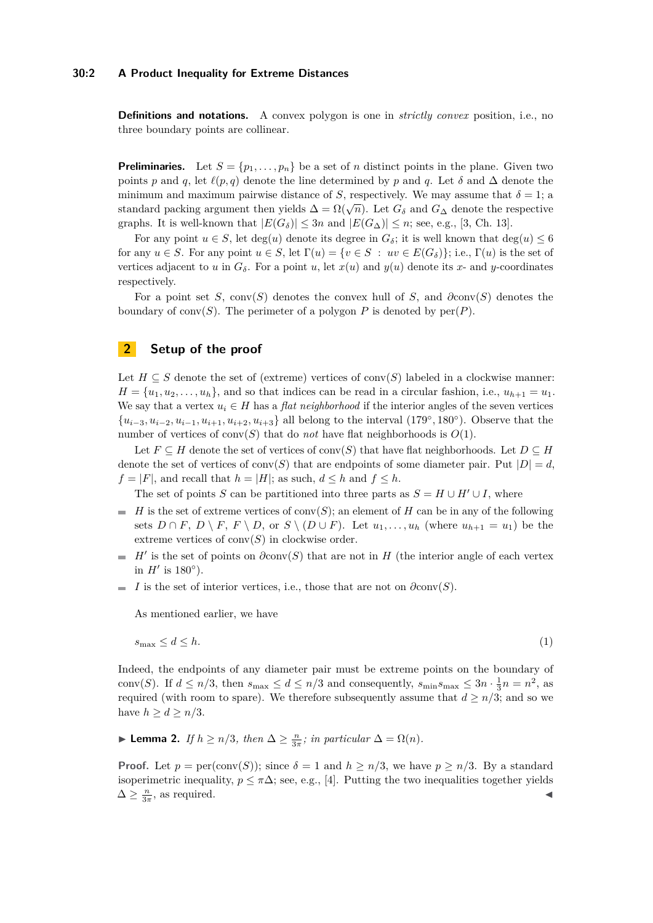# **30:2 A Product Inequality for Extreme Distances**

**Definitions and notations.** A convex polygon is one in *strictly convex* position, i.e., no three boundary points are collinear.

**Preliminaries.** Let  $S = \{p_1, \ldots, p_n\}$  be a set of *n* distinct points in the plane. Given two points *p* and *q*, let  $\ell(p,q)$  denote the line determined by *p* and *q*. Let *δ* and  $\Delta$  denote the minimum and maximum pairwise distance of *S*, respectively. We may assume that  $\delta = 1$ ; a standard packing argument then yields  $\Delta = \Omega(\sqrt{n})$ . Let  $G_{\delta}$  and  $G_{\Delta}$  denote the respective graphs. It is well-known that  $|E(G_{\delta})| \leq 3n$  and  $|E(G_{\Delta})| \leq n$ ; see, e.g., [\[3,](#page-11-0) Ch. 13].

For any point  $u \in S$ , let deg(*u*) denote its degree in  $G_{\delta}$ ; it is well known that deg(*u*)  $\leq 6$ for any  $u \in S$ . For any point  $u \in S$ , let  $\Gamma(u) = \{v \in S : uv \in E(G_{\delta})\}$ ; i.e.,  $\Gamma(u)$  is the set of vertices adjacent to *u* in  $G_\delta$ . For a point *u*, let  $x(u)$  and  $y(u)$  denote its *x*- and *y*-coordinates respectively.

For a point set *S*, conv(*S*) denotes the convex hull of *S*, and *∂*conv(*S*) denotes the boundary of conv $(S)$ . The perimeter of a polygon P is denoted by  $per(P)$ .

# **2 Setup of the proof**

Let  $H \subseteq S$  denote the set of (extreme) vertices of conv(*S*) labeled in a clockwise manner:  $H = \{u_1, u_2, \ldots, u_h\}$ , and so that indices can be read in a circular fashion, i.e.,  $u_{h+1} = u_1$ . We say that a vertex  $u_i \in H$  has a *flat neighborhood* if the interior angles of the seven vertices  ${u_{i-3}, u_{i-2}, u_{i-1}, u_{i+1}, u_{i+2}, u_{i+3}}$  all belong to the interval (179°, 180°). Observe that the number of vertices of conv $(S)$  that do *not* have flat neighborhoods is  $O(1)$ .

Let  $F \subseteq H$  denote the set of vertices of conv $(S)$  that have flat neighborhoods. Let  $D \subseteq H$ denote the set of vertices of conv(*S*) that are endpoints of some diameter pair. Put  $|D| = d$ ,  $f = |F|$ , and recall that  $h = |H|$ ; as such,  $d \leq h$  and  $f \leq h$ .

The set of points *S* can be partitioned into three parts as  $S = H \cup H' \cup I$ , where

- $H$  is the set of extreme vertices of conv(*S*); an element of *H* can be in any of the following sets  $D \cap F$ ,  $D \setminus F$ ,  $F \setminus D$ , or  $S \setminus (D \cup F)$ . Let  $u_1, \ldots, u_h$  (where  $u_{h+1} = u_1$ ) be the extreme vertices of  $conv(S)$  in clockwise order.
- $H'$  is the set of points on  $\partial \text{conv}(S)$  that are not in *H* (the interior angle of each vertex in  $H'$  is 180 $\circ$ ).
- *I* is the set of interior vertices, i.e., those that are not on  $\partial \text{conv}(S)$ .

<span id="page-1-1"></span>As mentioned earlier, we have

$$
s_{\max} \le d \le h. \tag{1}
$$

Indeed, the endpoints of any diameter pair must be extreme points on the boundary of conv(*S*). If  $d \leq n/3$ , then  $s_{\text{max}} \leq d \leq n/3$  and consequently,  $s_{\text{min}} s_{\text{max}} \leq 3n \cdot \frac{1}{3}n = n^2$ , as required (with room to spare). We therefore subsequently assume that  $d \geq n/3$ ; and so we have  $h \geq d \geq n/3$ .

<span id="page-1-0"></span>► **Lemma 2.** *If*  $h \ge n/3$ *, then*  $\Delta \ge \frac{n}{3\pi}$ *; in particular*  $\Delta = \Omega(n)$ *.* 

**Proof.** Let  $p = \text{per}(\text{conv}(S))$ ; since  $\delta = 1$  and  $h \geq n/3$ , we have  $p \geq n/3$ . By a standard isoperimetric inequality,  $p \leq \pi \Delta$ ; see, e.g., [\[4\]](#page-11-4). Putting the two inequalities together yields  $\Delta \geq \frac{n}{3\pi}$ , as required.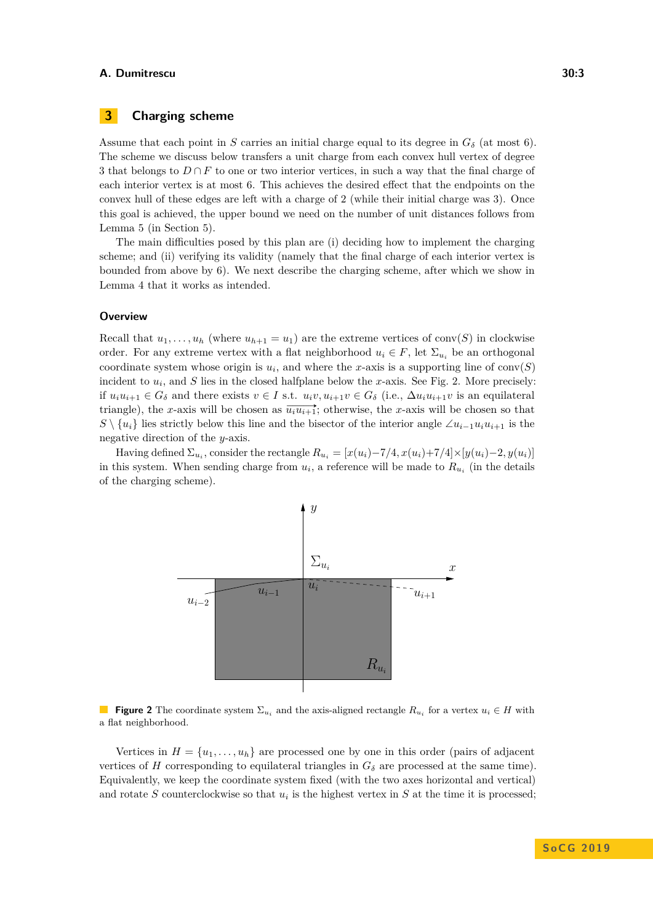# **3 Charging scheme**

Assume that each point in *S* carries an initial charge equal to its degree in  $G_{\delta}$  (at most 6). The scheme we discuss below transfers a unit charge from each convex hull vertex of degree 3 that belongs to  $D \cap F$  to one or two interior vertices, in such a way that the final charge of each interior vertex is at most 6. This achieves the desired effect that the endpoints on the convex hull of these edges are left with a charge of 2 (while their initial charge was 3). Once this goal is achieved, the upper bound we need on the number of unit distances follows from Lemma [5](#page-11-5) (in Section [5\)](#page-11-6).

The main difficulties posed by this plan are (i) deciding how to implement the charging scheme; and (ii) verifying its validity (namely that the final charge of each interior vertex is bounded from above by 6). We next describe the charging scheme, after which we show in Lemma [4](#page-7-0) that it works as intended.

# **Overview**

Recall that  $u_1, \ldots, u_h$  (where  $u_{h+1} = u_1$ ) are the extreme vertices of conv(*S*) in clockwise order. For any extreme vertex with a flat neighborhood  $u_i \in F$ , let  $\Sigma_{u_i}$  be an orthogonal coordinate system whose origin is  $u_i$ , and where the *x*-axis is a supporting line of  $conv(S)$ incident to  $u_i$ , and  $S$  lies in the closed halfplane below the *x*-axis. See Fig. [2.](#page-2-0) More precisely: if  $u_i u_{i+1} \in G_\delta$  and there exists  $v \in I$  s.t.  $u_i v, u_{i+1} v \in G_\delta$  (i.e.,  $\Delta u_i u_{i+1} v$  is an equilateral triangle), the *x*-axis will be chosen as  $\overrightarrow{u_i u_{i+1}}$ ; otherwise, the *x*-axis will be chosen so that  $S \setminus \{u_i\}$  lies strictly below this line and the bisector of the interior angle ∠*u*<sub>*i*−1</sub>*u*<sub>*i*</sub>*u*<sub>*i*+1</sub> is the negative direction of the *y*-axis.

<span id="page-2-0"></span>Having defined  $\Sigma_{u_i}$ , consider the rectangle  $R_{u_i} = [x(u_i) - 7/4, x(u_i) + 7/4] \times [y(u_i) - 2, y(u_i)]$ in this system. When sending charge from  $u_i$ , a reference will be made to  $R_{u_i}$  (in the details of the charging scheme).



**Figure 2** The coordinate system  $\Sigma_{u_i}$  and the axis-aligned rectangle  $R_{u_i}$  for a vertex  $u_i \in H$  with a flat neighborhood.

Vertices in  $H = \{u_1, \ldots, u_h\}$  are processed one by one in this order (pairs of adjacent vertices of *H* corresponding to equilateral triangles in  $G_{\delta}$  are processed at the same time). Equivalently, we keep the coordinate system fixed (with the two axes horizontal and vertical) and rotate  $S$  counterclockwise so that  $u_i$  is the highest vertex in  $S$  at the time it is processed;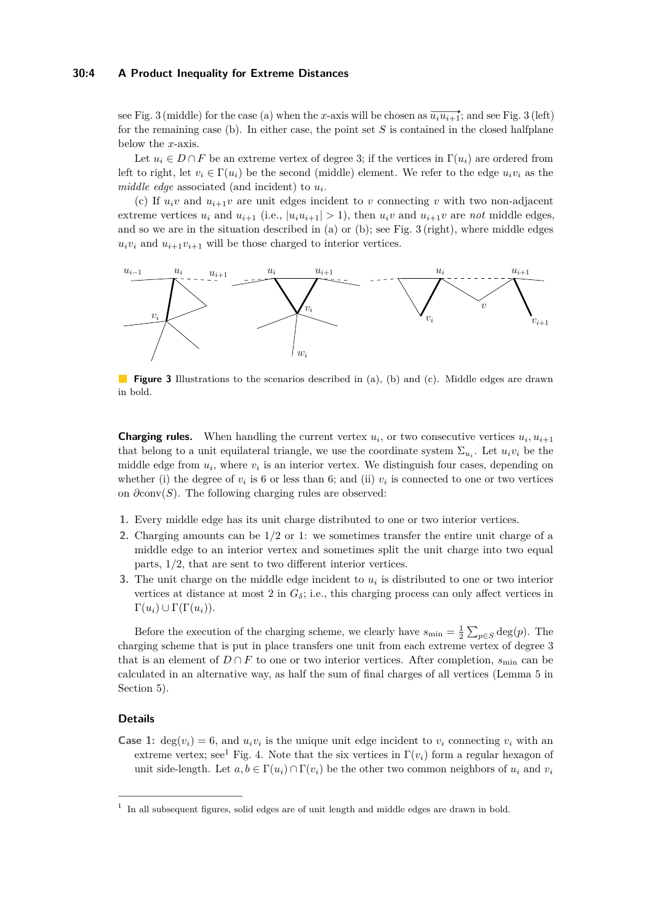## **30:4 A Product Inequality for Extreme Distances**

see Fig. [3](#page-3-0) (middle) for the case (a) when the *x*-axis will be chosen as  $\overline{u_i u_{i+1}}$ ; and see Fig. 3 (left) for the remaining case (b). In either case, the point set *S* is contained in the closed halfplane below the *x*-axis.

Let  $u_i \in D \cap F$  be an extreme vertex of degree 3; if the vertices in  $\Gamma(u_i)$  are ordered from left to right, let  $v_i \in \Gamma(u_i)$  be the second (middle) element. We refer to the edge  $u_i v_i$  as the *middle edge* associated (and incident) to *u<sup>i</sup>* .

(c) If  $u_i v$  and  $u_{i+1} v$  are unit edges incident to *v* connecting *v* with two non-adjacent extreme vertices  $u_i$  and  $u_{i+1}$  (i.e.,  $|u_i u_{i+1}| > 1$ ), then  $u_i v$  and  $u_{i+1} v$  are *not* middle edges, and so we are in the situation described in (a) or (b); see Fig. [3](#page-3-0) (right), where middle edges  $u_i v_i$  and  $u_{i+1} v_{i+1}$  will be those charged to interior vertices.

<span id="page-3-0"></span>

**Figure 3** Illustrations to the scenarios described in (a), (b) and (c). Middle edges are drawn in bold.

**Charging rules.** When handling the current vertex  $u_i$ , or two consecutive vertices  $u_i$ ,  $u_{i+1}$ that belong to a unit equilateral triangle, we use the coordinate system  $\Sigma_{u_i}$ . Let  $u_i v_i$  be the middle edge from *u<sup>i</sup>* , where *v<sup>i</sup>* is an interior vertex. We distinguish four cases, depending on whether (i) the degree of  $v_i$  is 6 or less than 6; and (ii)  $v_i$  is connected to one or two vertices on *∂*conv(*S*). The following charging rules are observed:

- **1.** Every middle edge has its unit charge distributed to one or two interior vertices.
- **2.** Charging amounts can be 1*/*2 or 1: we sometimes transfer the entire unit charge of a middle edge to an interior vertex and sometimes split the unit charge into two equal parts, 1*/*2, that are sent to two different interior vertices.
- **3.** The unit charge on the middle edge incident to  $u_i$  is distributed to one or two interior vertices at distance at most 2 in  $G_{\delta}$ ; i.e., this charging process can only affect vertices in  $\Gamma(u_i) \cup \Gamma(\Gamma(u_i)).$

Before the execution of the charging scheme, we clearly have  $s_{\min} = \frac{1}{2} \sum_{p \in S} \deg(p)$ . The charging scheme that is put in place transfers one unit from each extreme vertex of degree 3 that is an element of  $D \cap F$  to one or two interior vertices. After completion,  $s_{\min}$  can be calculated in an alternative way, as half the sum of final charges of all vertices (Lemma [5](#page-11-5) in Section [5\)](#page-11-6).

### **Details**

**Case 1:** deg( $v_i$ ) = 6, and  $u_i v_i$  is the unique unit edge incident to  $v_i$  connecting  $v_i$  with an extreme vertex; see<sup>[1](#page-3-1)</sup> Fig. [4.](#page-4-0) Note that the six vertices in  $\Gamma(v_i)$  form a regular hexagon of unit side-length. Let  $a, b \in \Gamma(u_i) \cap \Gamma(v_i)$  be the other two common neighbors of  $u_i$  and  $v_i$ 

<span id="page-3-1"></span><sup>&</sup>lt;sup>1</sup> In all subsequent figures, solid edges are of unit length and middle edges are drawn in bold.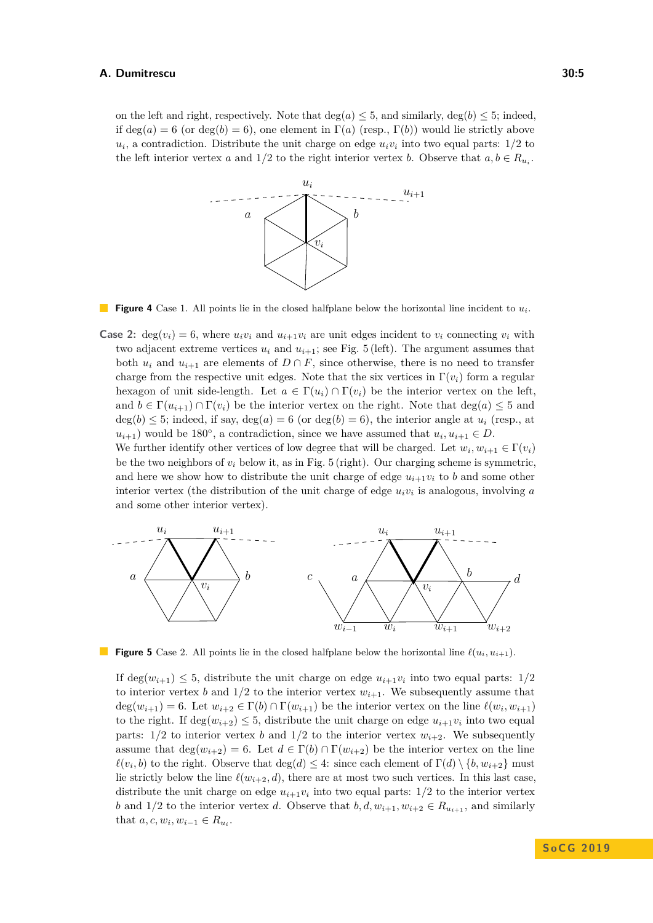<span id="page-4-0"></span>on the left and right, respectively. Note that  $\deg(a) \leq 5$ , and similarly,  $\deg(b) \leq 5$ ; indeed, if  $deg(a) = 6$  (or  $deg(b) = 6$ ), one element in  $\Gamma(a)$  (resp.,  $\Gamma(b)$ ) would lie strictly above  $u_i$ , a contradiction. Distribute the unit charge on edge  $u_i v_i$  into two equal parts:  $1/2$  to the left interior vertex *a* and  $1/2$  to the right interior vertex *b*. Observe that  $a, b \in R_{u_i}$ .



**Figure 4** Case 1. All points lie in the closed halfplane below the horizontal line incident to *ui*.

**Case 2:** deg( $v_i$ ) = 6, where  $u_i v_i$  and  $u_{i+1} v_i$  are unit edges incident to  $v_i$  connecting  $v_i$  with two adjacent extreme vertices  $u_i$  and  $u_{i+1}$ ; see Fig. [5](#page-4-1) (left). The argument assumes that both  $u_i$  and  $u_{i+1}$  are elements of  $D \cap F$ , since otherwise, there is no need to transfer charge from the respective unit edges. Note that the six vertices in  $\Gamma(v_i)$  form a regular hexagon of unit side-length. Let  $a \in \Gamma(u_i) \cap \Gamma(v_i)$  be the interior vertex on the left, and  $b \in \Gamma(u_{i+1}) \cap \Gamma(v_i)$  be the interior vertex on the right. Note that  $\deg(a) \leq 5$  and  $deg(b) \leq 5$ ; indeed, if say,  $deg(a) = 6$  (or  $deg(b) = 6$ ), the interior angle at  $u_i$  (resp., at  $u_{i+1}$ ) would be 180<sup>°</sup>, a contradiction, since we have assumed that  $u_i, u_{i+1} \in D$ .

We further identify other vertices of low degree that will be charged. Let  $w_i, w_{i+1} \in \Gamma(v_i)$ be the two neighbors of  $v_i$  below it, as in Fig. [5](#page-4-1) (right). Our charging scheme is symmetric, and here we show how to distribute the unit charge of edge  $u_{i+1}v_i$  to *b* and some other interior vertex (the distribution of the unit charge of edge *uiv<sup>i</sup>* is analogous, involving *a* and some other interior vertex).

<span id="page-4-1"></span>

**Figure 5** Case 2. All points lie in the closed halfplane below the horizontal line  $\ell(u_i, u_{i+1})$ .

If  $\deg(w_{i+1}) \leq 5$ , distribute the unit charge on edge  $u_{i+1}v_i$  into two equal parts:  $1/2$ to interior vertex *b* and  $1/2$  to the interior vertex  $w_{i+1}$ . We subsequently assume that  $deg(w_{i+1}) = 6$ . Let  $w_{i+2} \in \Gamma(b) \cap \Gamma(w_{i+1})$  be the interior vertex on the line  $\ell(w_i, w_{i+1})$ to the right. If  $\deg(w_{i+2}) \leq 5$ , distribute the unit charge on edge  $u_{i+1}v_i$  into two equal parts:  $1/2$  to interior vertex *b* and  $1/2$  to the interior vertex  $w_{i+2}$ . We subsequently assume that  $\deg(w_{i+2}) = 6$ . Let  $d \in \Gamma(b) \cap \Gamma(w_{i+2})$  be the interior vertex on the line  $\ell(v_i, b)$  to the right. Observe that  $\deg(d) \leq 4$ : since each element of  $\Gamma(d) \setminus \{b, w_{i+2}\}\$  must lie strictly below the line  $\ell(w_{i+2}, d)$ , there are at most two such vertices. In this last case, distribute the unit charge on edge  $u_{i+1}v_i$  into two equal parts:  $1/2$  to the interior vertex *b* and 1/2 to the interior vertex *d*. Observe that  $b, d, w_{i+1}, w_{i+2} \in R_{u_{i+1}},$  and similarly that  $a, c, w_i, w_{i-1} \in R_{u_i}$ .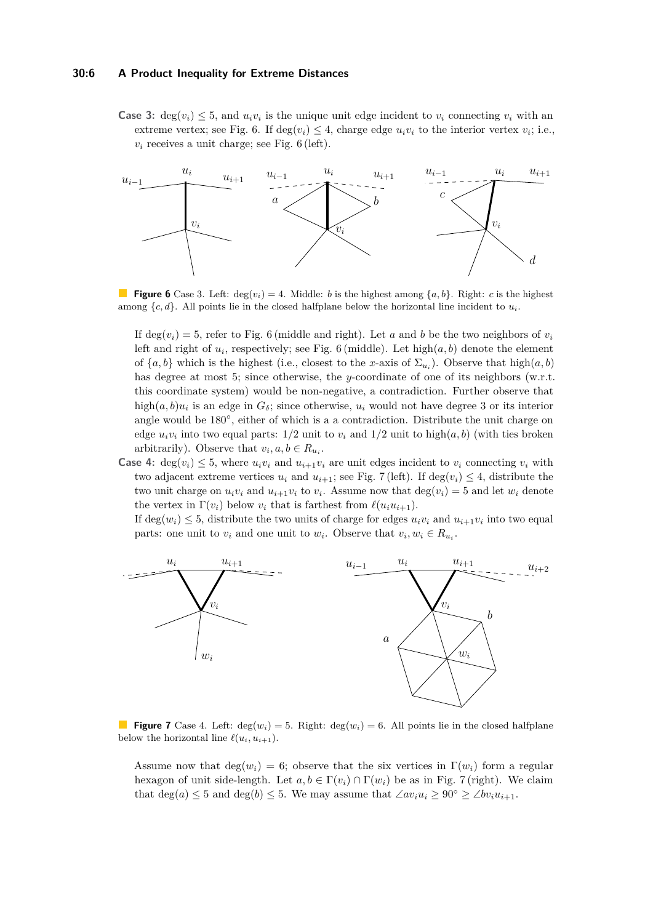# **30:6 A Product Inequality for Extreme Distances**

**Case 3:** deg $(v_i) \leq 5$ , and  $u_i v_i$  is the unique unit edge incident to  $v_i$  connecting  $v_i$  with an extreme vertex; see Fig. [6.](#page-5-0) If  $\deg(v_i) \leq 4$ , charge edge  $u_i v_i$  to the interior vertex  $v_i$ ; i.e.,  $v_i$  receives a unit charge; see Fig.  $6$  (left).

<span id="page-5-0"></span>

**Figure 6** Case 3. Left:  $\deg(v_i) = 4$ . Middle: *b* is the highest among  $\{a, b\}$ . Right: *c* is the highest among  ${c, d}$ . All points lie in the closed halfplane below the horizontal line incident to  $u_i$ .

If deg( $v_i$ ) = 5, refer to Fig. [6](#page-5-0) (middle and right). Let *a* and *b* be the two neighbors of  $v_i$ left and right of  $u_i$ , respectively; see Fig. [6](#page-5-0) (middle). Let  $\text{high}(a, b)$  denote the element of  $\{a, b\}$  which is the highest (i.e., closest to the *x*-axis of  $\Sigma_{u_i}$ ). Observe that high $(a, b)$ has degree at most 5; since otherwise, the *y*-coordinate of one of its neighbors (w.r.t. this coordinate system) would be non-negative, a contradiction. Further observe that high $(a, b)u_i$  is an edge in  $G_\delta$ ; since otherwise,  $u_i$  would not have degree 3 or its interior angle would be 180◦ , either of which is a a contradiction. Distribute the unit charge on edge  $u_i v_i$  into two equal parts:  $1/2$  unit to  $v_i$  and  $1/2$  unit to high $(a, b)$  (with ties broken arbitrarily). Observe that  $v_i, a, b \in R_{u_i}$ .

**Case 4:** deg( $v_i$ )  $\leq$  5, where  $u_i v_i$  and  $u_{i+1} v_i$  are unit edges incident to  $v_i$  connecting  $v_i$  with two adjacent extreme vertices  $u_i$  and  $u_{i+1}$ ; see Fig. [7](#page-5-1) (left). If deg( $v_i$ )  $\leq 4$ , distribute the two unit charge on  $u_i v_i$  and  $u_{i+1} v_i$  to  $v_i$ . Assume now that  $deg(v_i) = 5$  and let  $w_i$  denote the vertex in  $\Gamma(v_i)$  below  $v_i$  that is farthest from  $\ell(u_iu_{i+1})$ .

If  $deg(w_i) \leq 5$ , distribute the two units of charge for edges  $u_i v_i$  and  $u_{i+1} v_i$  into two equal parts: one unit to  $v_i$  and one unit to  $w_i$ . Observe that  $v_i, w_i \in R_{u_i}$ .

<span id="page-5-1"></span>

**Figure 7** Case 4. Left:  $\deg(w_i) = 5$ . Right:  $\deg(w_i) = 6$ . All points lie in the closed halfplane below the horizontal line  $\ell(u_i, u_{i+1})$ .

Assume now that  $deg(w_i) = 6$ ; observe that the six vertices in  $\Gamma(w_i)$  form a regular hexagon of unit side-length. Let  $a, b \in \Gamma(v_i) \cap \Gamma(w_i)$  be as in Fig. [7](#page-5-1) (right). We claim that  $\deg(a) \leq 5$  and  $\deg(b) \leq 5$ . We may assume that  $\angle av_iu_i \geq 90^\circ \geq \angle bv_iu_{i+1}$ .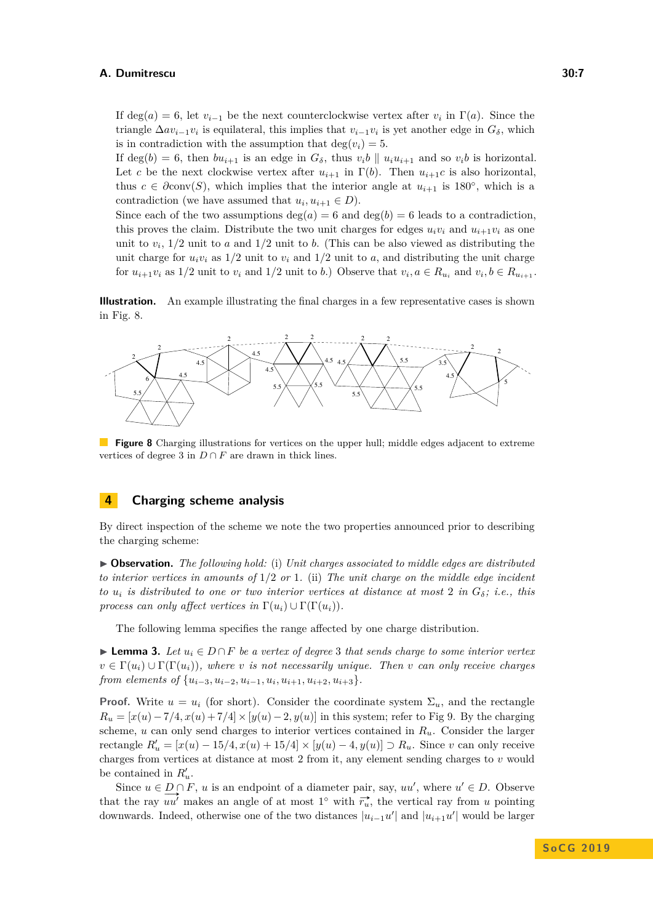If deg(*a*) = 6, let  $v_{i-1}$  be the next counterclockwise vertex after  $v_i$  in  $\Gamma(a)$ . Since the triangle  $\Delta av_{i-1}v_i$  is equilateral, this implies that  $v_{i-1}v_i$  is yet another edge in  $G_{\delta}$ , which is in contradiction with the assumption that  $deg(v_i) = 5$ .

If deg(*b*) = 6, then  $bu_{i+1}$  is an edge in  $G_{\delta}$ , thus  $v_i b \parallel u_i u_{i+1}$  and so  $v_i b$  is horizontal. Let *c* be the next clockwise vertex after  $u_{i+1}$  in  $\Gamma(b)$ . Then  $u_{i+1}c$  is also horizontal, thus  $c \in \partial \text{conv}(S)$ , which implies that the interior angle at  $u_{i+1}$  is 180<sup>°</sup>, which is a contradiction (we have assumed that  $u_i, u_{i+1} \in D$ ).

Since each of the two assumptions  $\deg(a) = 6$  and  $\deg(b) = 6$  leads to a contradiction, this proves the claim. Distribute the two unit charges for edges  $u_i v_i$  and  $u_{i+1} v_i$  as one unit to  $v_i$ ,  $1/2$  unit to *a* and  $1/2$  unit to *b*. (This can be also viewed as distributing the unit charge for  $u_i v_i$  as  $1/2$  unit to  $v_i$  and  $1/2$  unit to  $a$ , and distributing the unit charge for  $u_{i+1}v_i$  as  $1/2$  unit to  $v_i$  and  $1/2$  unit to b.) Observe that  $v_i, a \in R_{u_i}$  and  $v_i, b \in R_{u_{i+1}}$ .

**Illustration.** An example illustrating the final charges in a few representative cases is shown in Fig. [8.](#page-6-0)

<span id="page-6-0"></span>

**Figure 8** Charging illustrations for vertices on the upper hull; middle edges adjacent to extreme vertices of degree 3 in  $D \cap F$  are drawn in thick lines.

# **4 Charging scheme analysis**

By direct inspection of the scheme we note the two properties announced prior to describing the charging scheme:

I **Observation.** *The following hold:* (i) *Unit charges associated to middle edges are distributed to interior vertices in amounts of* 1*/*2 *or* 1*.* (ii) *The unit charge on the middle edge incident to*  $u_i$  *is distributed to one or two interior vertices at distance at most* 2 *in*  $G_\delta$ *; i.e., this process can only affect vertices in*  $\Gamma(u_i) \cup \Gamma(\Gamma(u_i))$ .

The following lemma specifies the range affected by one charge distribution.

<span id="page-6-1"></span>► **Lemma 3.** Let  $u_i \in D \cap F$  be a vertex of degree 3 that sends charge to some interior vertex  $v \in \Gamma(u_i) \cup \Gamma(\Gamma(u_i))$ *, where v is not necessarily unique. Then v can only receive charges from elements of*  $\{u_{i-3}, u_{i-2}, u_{i-1}, u_i, u_{i+1}, u_{i+2}, u_{i+3}\}.$ 

**Proof.** Write  $u = u_i$  (for short). Consider the coordinate system  $\Sigma_u$ , and the rectangle  $R_u = [x(u) - 7/4, x(u) + 7/4] \times [y(u) - 2, y(u)]$  in this system; refer to Fig [9.](#page-7-1) By the charging scheme,  $u$  can only send charges to interior vertices contained in  $R_u$ . Consider the larger *rectangle*  $R'_u = [x(u) - 15/4, x(u) + 15/4] \times [y(u) - 4, y(u)]$  ⊃  $R_u$ . Since *v* can only receive charges from vertices at distance at most 2 from it, any element sending charges to *v* would be contained in  $R'_u$ .

Since  $u \in D \cap F$ , *u* is an endpoint of a diameter pair, say, *uu*', where  $u' \in D$ . Observe that the ray  $\overline{uu'}$  makes an angle of at most  $1^{\circ}$  with  $\overline{r_u}$ , the vertical ray from *u* pointing downwards. Indeed, otherwise one of the two distances  $|u_{i-1}u'|$  and  $|u_{i+1}u'|$  would be larger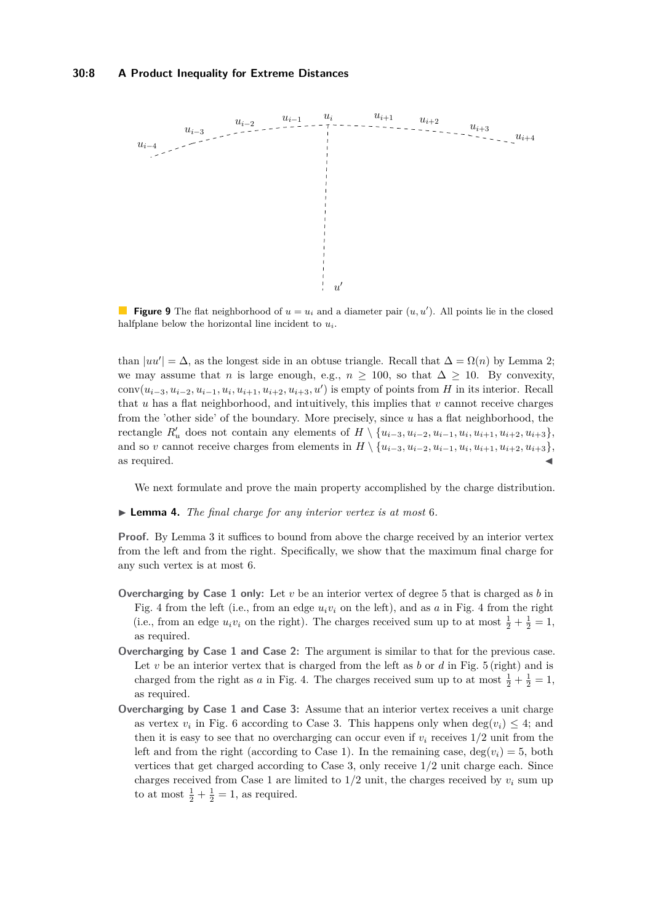<span id="page-7-1"></span>

**Figure 9** The flat neighborhood of  $u = u_i$  and a diameter pair  $(u, u')$ . All points lie in the closed halfplane below the horizontal line incident to *ui*.

than  $|uu'| = \Delta$ , as the longest side in an obtuse triangle. Recall that  $\Delta = \Omega(n)$  by Lemma [2;](#page-1-0) we may assume that *n* is large enough, e.g.,  $n \ge 100$ , so that  $\Delta \ge 10$ . By convexity, conv $(u_{i-3}, u_{i-2}, u_{i-1}, u_i, u_{i+1}, u_{i+2}, u_{i+3}, u')$  is empty of points from *H* in its interior. Recall that *u* has a flat neighborhood, and intuitively, this implies that *v* cannot receive charges from the 'other side' of the boundary. More precisely, since *u* has a flat neighborhood, the rectangle  $R'_u$  does not contain any elements of  $H \setminus \{u_{i-3}, u_{i-2}, u_{i-1}, u_i, u_{i+1}, u_{i+2}, u_{i+3}\},$ and so *v* cannot receive charges from elements in  $H \setminus \{u_{i-3}, u_{i-2}, u_{i-1}, u_i, u_{i+1}, u_{i+2}, u_{i+3}\},\$ as required.

We next formulate and prove the main property accomplished by the charge distribution.

#### <span id="page-7-0"></span>I **Lemma 4.** *The final charge for any interior vertex is at most* 6*.*

**Proof.** By Lemma [3](#page-6-1) it suffices to bound from above the charge received by an interior vertex from the left and from the right. Specifically, we show that the maximum final charge for any such vertex is at most 6.

- **Overcharging by Case 1 only:** Let *v* be an interior vertex of degree 5 that is charged as *b* in Fig. [4](#page-4-0) from the left (i.e., from an edge  $u_i v_i$  on the left), and as  $a$  in Fig. 4 from the right (i.e., from an edge  $u_i v_i$  on the right). The charges received sum up to at most  $\frac{1}{2} + \frac{1}{2} = 1$ , as required.
- **Overcharging by Case 1 and Case 2:** The argument is similar to that for the previous case. Let *v* be an interior vertex that is charged from the left as *b* or *d* in Fig. [5](#page-4-1) (right) and is charged from the right as *a* in Fig. [4.](#page-4-0) The charges received sum up to at most  $\frac{1}{2} + \frac{1}{2} = 1$ , as required.
- **Overcharging by Case 1 and Case 3:** Assume that an interior vertex receives a unit charge as vertex  $v_i$  in Fig. [6](#page-5-0) according to Case 3. This happens only when  $\deg(v_i) \leq 4$ ; and then it is easy to see that no overcharging can occur even if  $v_i$  receives  $1/2$  unit from the left and from the right (according to Case 1). In the remaining case,  $deg(v_i) = 5$ , both vertices that get charged according to Case 3, only receive 1*/*2 unit charge each. Since charges received from Case 1 are limited to  $1/2$  unit, the charges received by  $v_i$  sum up to at most  $\frac{1}{2} + \frac{1}{2} = 1$ , as required.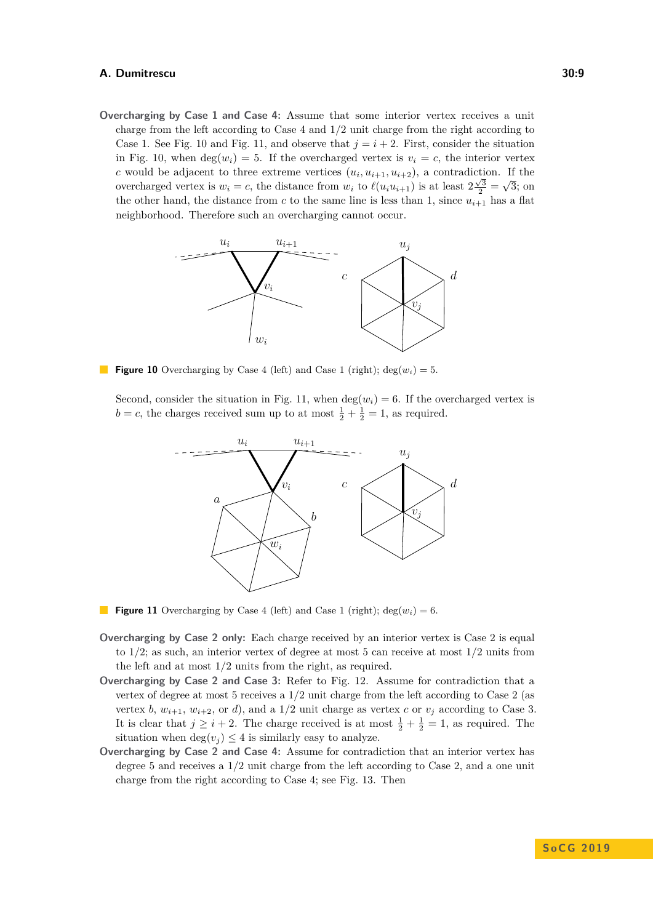**Overcharging by Case 1 and Case 4:** Assume that some interior vertex receives a unit charge from the left according to Case 4 and 1*/*2 unit charge from the right according to Case 1. See Fig. [10](#page-8-0) and Fig. [11,](#page-8-1) and observe that  $j = i + 2$ . First, consider the situation in Fig. [10,](#page-8-0) when  $deg(w_i) = 5$ . If the overcharged vertex is  $v_i = c$ , the interior vertex *c* would be adjacent to three extreme vertices  $(u_i, u_{i+1}, u_{i+2})$ , a contradiction. If the overcharged vertex is  $w_i = c$ , the distance from  $w_i$  to  $\ell(u_i u_{i+1})$  is at least  $2\frac{\sqrt{3}}{2} = \sqrt{3}$ ; on the other hand, the distance from  $c$  to the same line is less than 1, since  $u_{i+1}$  has a flat neighborhood. Therefore such an overcharging cannot occur.

<span id="page-8-0"></span>

**Figure 10** Overcharging by Case 4 (left) and Case 1 (right);  $\deg(w_i) = 5$ .

<span id="page-8-1"></span>Second, consider the situation in Fig. [11,](#page-8-1) when  $\deg(w_i) = 6$ . If the overcharged vertex is  $b = c$ , the charges received sum up to at most  $\frac{1}{2} + \frac{1}{2} = 1$ , as required.



**Figure 11** Overcharging by Case 4 (left) and Case 1 (right);  $deg(w_i) = 6$ .

- **Overcharging by Case 2 only:** Each charge received by an interior vertex is Case 2 is equal to 1*/*2; as such, an interior vertex of degree at most 5 can receive at most 1*/*2 units from the left and at most 1*/*2 units from the right, as required.
- **Overcharging by Case 2 and Case 3:** Refer to Fig. [12.](#page-9-0) Assume for contradiction that a vertex of degree at most 5 receives a 1*/*2 unit charge from the left according to Case 2 (as vertex *b*,  $w_{i+1}$ ,  $w_{i+2}$ , or *d*), and a 1/2 unit charge as vertex *c* or  $v_j$  according to Case 3. It is clear that  $j \geq i + 2$ . The charge received is at most  $\frac{1}{2} + \frac{1}{2} = 1$ , as required. The situation when  $\deg(v_i) \leq 4$  is similarly easy to analyze.
- **Overcharging by Case 2 and Case 4:** Assume for contradiction that an interior vertex has degree 5 and receives a 1*/*2 unit charge from the left according to Case 2, and a one unit charge from the right according to Case 4; see Fig. [13.](#page-9-1) Then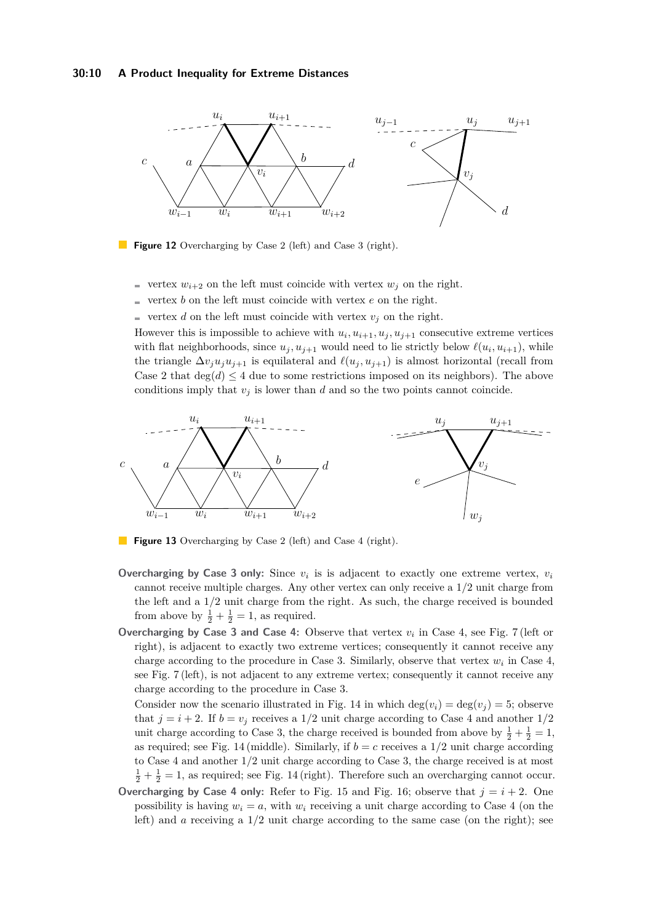# **30:10 A Product Inequality for Extreme Distances**

<span id="page-9-0"></span>

**Figure 12** Overcharging by Case 2 (left) and Case 3 (right).

- vertex  $w_{i+2}$  on the left must coincide with vertex  $w_i$  on the right.
- vertex *b* on the left must coincide with vertex *e* on the right. ÷.
- vertex *d* on the left must coincide with vertex  $v_j$  on the right.

However this is impossible to achieve with  $u_i, u_{i+1}, u_j, u_{j+1}$  consecutive extreme vertices with flat neighborhoods, since  $u_j, u_{j+1}$  would need to lie strictly below  $\ell(u_i, u_{i+1})$ , while the triangle  $\Delta v_j u_j u_{j+1}$  is equilateral and  $\ell(u_j, u_{j+1})$  is almost horizontal (recall from Case 2 that  $\deg(d) \leq 4$  due to some restrictions imposed on its neighbors). The above conditions imply that  $v_j$  is lower than  $d$  and so the two points cannot coincide.

<span id="page-9-1"></span>

**Figure 13** Overcharging by Case 2 (left) and Case 4 (right).

- Overcharging by Case 3 only: Since  $v_i$  is is adjacent to exactly one extreme vertex,  $v_i$ cannot receive multiple charges. Any other vertex can only receive a 1*/*2 unit charge from the left and a 1*/*2 unit charge from the right. As such, the charge received is bounded from above by  $\frac{1}{2} + \frac{1}{2} = 1$ , as required.
- **Overcharging by Case 3 and Case 4:** Observe that vertex  $v_i$  in Case 4, see Fig. [7](#page-5-1) (left or right), is adjacent to exactly two extreme vertices; consequently it cannot receive any charge according to the procedure in Case 3. Similarly, observe that vertex  $w_i$  in Case 4, see Fig. [7](#page-5-1) (left), is not adjacent to any extreme vertex; consequently it cannot receive any charge according to the procedure in Case 3.

Consider now the scenario illustrated in Fig. [14](#page-10-0) in which  $\deg(v_i) = \deg(v_i) = 5$ ; observe that  $j = i + 2$ . If  $b = v_j$  receives a  $1/2$  unit charge according to Case 4 and another  $1/2$ unit charge according to Case 3, the charge received is bounded from above by  $\frac{1}{2} + \frac{1}{2} = 1$ , as required; see Fig. [14](#page-10-0) (middle). Similarly, if  $b = c$  receives a  $1/2$  unit charge according to Case 4 and another 1*/*2 unit charge according to Case 3, the charge received is at most  $\frac{1}{2} + \frac{1}{2} = 1$ , as required; see Fig. [14](#page-10-0) (right). Therefore such an overcharging cannot occur.

**Overcharging by Case 4 only:** Refer to Fig. [15](#page-10-1) and Fig. [16;](#page-10-2) observe that  $j = i + 2$ . One possibility is having  $w_i = a$ , with  $w_i$  receiving a unit charge according to Case 4 (on the left) and *a* receiving a 1*/*2 unit charge according to the same case (on the right); see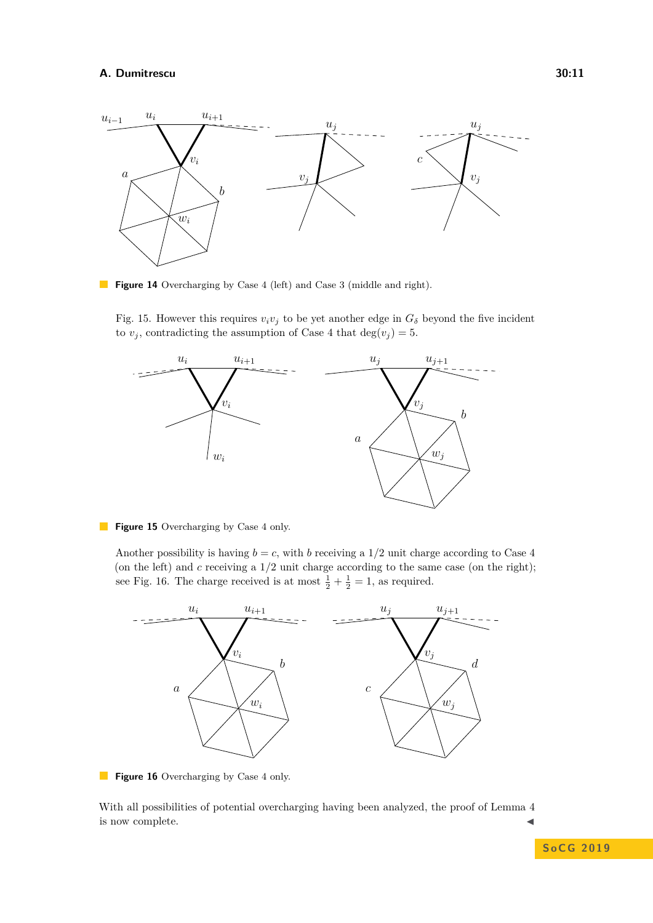<span id="page-10-0"></span>

**Figure 14** Overcharging by Case 4 (left) and Case 3 (middle and right).

Fig. [15.](#page-10-1) However this requires  $v_i v_j$  to be yet another edge in  $G_\delta$  beyond the five incident to  $v_j$ , contradicting the assumption of Case 4 that  $deg(v_j) = 5$ .

<span id="page-10-1"></span>

**Figure 15** Overcharging by Case 4 only.

Another possibility is having  $b = c$ , with *b* receiving a 1/2 unit charge according to Case 4 (on the left) and *c* receiving a 1*/*2 unit charge according to the same case (on the right); see Fig. [16.](#page-10-2) The charge received is at most  $\frac{1}{2} + \frac{1}{2} = 1$ , as required.

<span id="page-10-2"></span>

**Figure 16** Overcharging by Case 4 only.

With all possibilities of potential overcharging having been analyzed, the proof of Lemma [4](#page-7-0) is now complete.